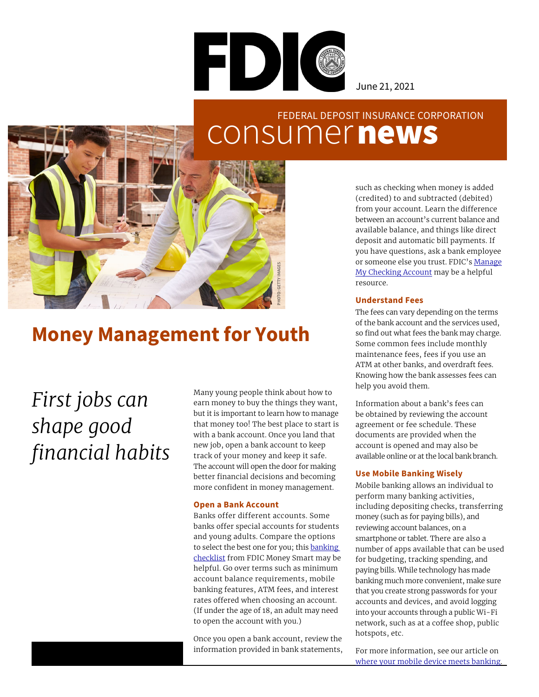

June 21, 2021

### consumer news FEDERAL DEPOSIT INSURANCE CORPORATION



### (credited) to and subtracted (debited) from your account. Learn the difference between an account's current balance and available balance, and things like direct deposit and automatic bill payments. If you have questions, ask a bank employee or someone else you trust. FDIC's [Manage](https://www.fdic.gov/consumers/education/documents/manage-my-checking-account.pdf) My [Checking Account](https://www.fdic.gov/consumers/education/documents/manage-my-checking-account.pdf) may be a helpful resource.

such as checking when money is added

### **Understand Fees**

The fees can vary depending on the terms of the bank account and the services used, so find out what fees the bank may charge. Some common fees include monthly maintenance fees, fees if you use an ATM at other banks, and overdraft fees. Knowing how the bank assesses fees can help you avoid them.

Information about a bank's fees can be obtained by reviewing the account agreement or fee schedule. These documents are provided when the account is opened and may also be available online or at the local bank branch.

### **Use Mobile Banking Wisely**

Mobile banking allows an individual to perform many banking activities, including depositing checks, transferring money (such as for paying bills), and reviewing account balances, on a smartphone or tablet. There are also a number of apps available that can be used for budgeting, tracking spending, and paying bills. While technology has made banking much more convenient, make sure that you create strong passwords for your accounts and devices, and avoid logging into your accounts through a public Wi-Fi network, such as at a coffee shop, public hotspots, etc.

For more information, see our article on [where your mobile device meets banking.](https://www.fdic.gov/resources/consumers/consumer-news/2020-11.html)

## **Money Management for Youth**

# *First jobs can shape good financial habits*

Many young people think about how to earn money to buy the things they want, but it is important to learn how to manage that money too! The best place to start is with a bank account. Once you land that new job, open a bank account to keep track of your money and keep it safe. The account will open the door for making better financial decisions and becoming more confident in money management.

### **Open a Bank Account**

Banks offer different accounts. Some banks offer special accounts for students and young adults. Compare the options to select the best one for you; this banking [checklist](https://catalog.fdic.gov/catalog/sfc/servlet.shepherd/document/download/069t000000LnHbBAAV) from FDIC Money Smart may be helpful. Go over terms such as minimum account balance requirements, mobile banking features, ATM fees, and interest rates offered when choosing an account. (If under the age of 18, an adult may need to open the account with you.)

Once you open a bank account, review the information provided in bank statements,